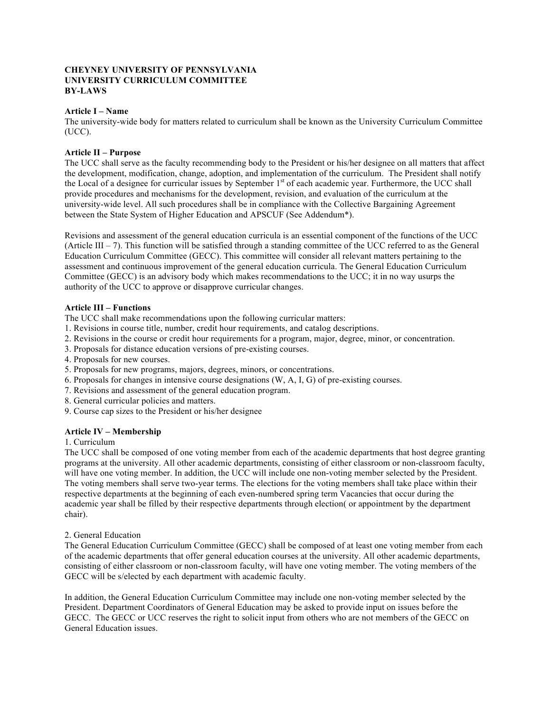### **CHEYNEY UNIVERSITY OF PENNSYLVANIA UNIVERSITY CURRICULUM COMMITTEE BY-LAWS**

### **Article I – Name**

The university-wide body for matters related to curriculum shall be known as the University Curriculum Committee (UCC).

### **Article II – Purpose**

The UCC shall serve as the faculty recommending body to the President or his/her designee on all matters that affect the development, modification, change, adoption, and implementation of the curriculum. The President shall notify the Local of a designee for curricular issues by September 1<sup>st</sup> of each academic year. Furthermore, the UCC shall provide procedures and mechanisms for the development, revision, and evaluation of the curriculum at the university-wide level. All such procedures shall be in compliance with the Collective Bargaining Agreement between the State System of Higher Education and APSCUF (See Addendum\*).

Revisions and assessment of the general education curricula is an essential component of the functions of the UCC (Article III – 7). This function will be satisfied through a standing committee of the UCC referred to as the General Education Curriculum Committee (GECC). This committee will consider all relevant matters pertaining to the assessment and continuous improvement of the general education curricula. The General Education Curriculum Committee (GECC) is an advisory body which makes recommendations to the UCC; it in no way usurps the authority of the UCC to approve or disapprove curricular changes.

### **Article III – Functions**

The UCC shall make recommendations upon the following curricular matters:

- 1. Revisions in course title, number, credit hour requirements, and catalog descriptions.
- 2. Revisions in the course or credit hour requirements for a program, major, degree, minor, or concentration.
- 3. Proposals for distance education versions of pre-existing courses.
- 4. Proposals for new courses.
- 5. Proposals for new programs, majors, degrees, minors, or concentrations.
- 6. Proposals for changes in intensive course designations (W, A, I, G) of pre-existing courses.
- 7. Revisions and assessment of the general education program.
- 8. General curricular policies and matters.
- 9. Course cap sizes to the President or his/her designee

# **Article IV – Membership**

#### 1. Curriculum

The UCC shall be composed of one voting member from each of the academic departments that host degree granting programs at the university. All other academic departments, consisting of either classroom or non-classroom faculty, will have one voting member. In addition, the UCC will include one non-voting member selected by the President. The voting members shall serve two-year terms. The elections for the voting members shall take place within their respective departments at the beginning of each even-numbered spring term Vacancies that occur during the academic year shall be filled by their respective departments through election( or appointment by the department chair).

# 2. General Education

The General Education Curriculum Committee (GECC) shall be composed of at least one voting member from each of the academic departments that offer general education courses at the university. All other academic departments, consisting of either classroom or non-classroom faculty, will have one voting member. The voting members of the GECC will be s/elected by each department with academic faculty.

In addition, the General Education Curriculum Committee may include one non-voting member selected by the President. Department Coordinators of General Education may be asked to provide input on issues before the GECC. The GECC or UCC reserves the right to solicit input from others who are not members of the GECC on General Education issues.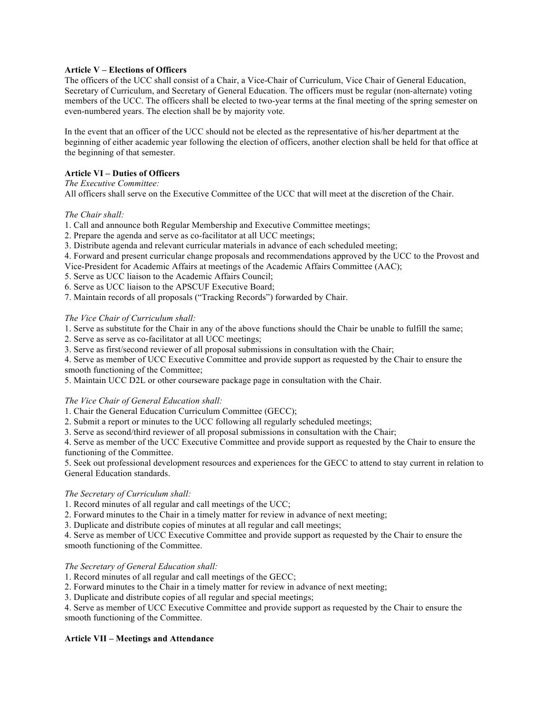# **Article V – Elections of Officers**

The officers of the UCC shall consist of a Chair, a Vice-Chair of Curriculum, Vice Chair of General Education, Secretary of Curriculum, and Secretary of General Education. The officers must be regular (non-alternate) voting members of the UCC. The officers shall be elected to two-year terms at the final meeting of the spring semester on even-numbered years. The election shall be by majority vote.

In the event that an officer of the UCC should not be elected as the representative of his/her department at the beginning of either academic year following the election of officers, another election shall be held for that office at the beginning of that semester.

# **Article VI – Duties of Officers**

*The Executive Committee:*

All officers shall serve on the Executive Committee of the UCC that will meet at the discretion of the Chair.

# *The Chair shall:*

- 1. Call and announce both Regular Membership and Executive Committee meetings;
- 2. Prepare the agenda and serve as co-facilitator at all UCC meetings;
- 3. Distribute agenda and relevant curricular materials in advance of each scheduled meeting;
- 4. Forward and present curricular change proposals and recommendations approved by the UCC to the Provost and
- Vice-President for Academic Affairs at meetings of the Academic Affairs Committee (AAC);
- 5. Serve as UCC liaison to the Academic Affairs Council;
- 6. Serve as UCC liaison to the APSCUF Executive Board;
- 7. Maintain records of all proposals ("Tracking Records") forwarded by Chair.

### *The Vice Chair of Curriculum shall:*

- 1. Serve as substitute for the Chair in any of the above functions should the Chair be unable to fulfill the same;
- 2. Serve as serve as co-facilitator at all UCC meetings;
- 3. Serve as first/second reviewer of all proposal submissions in consultation with the Chair;

4. Serve as member of UCC Executive Committee and provide support as requested by the Chair to ensure the smooth functioning of the Committee;

5. Maintain UCC D2L or other courseware package page in consultation with the Chair.

# *The Vice Chair of General Education shall:*

1. Chair the General Education Curriculum Committee (GECC);

- 2. Submit a report or minutes to the UCC following all regularly scheduled meetings;
- 3. Serve as second/third reviewer of all proposal submissions in consultation with the Chair;

4. Serve as member of the UCC Executive Committee and provide support as requested by the Chair to ensure the functioning of the Committee.

5. Seek out professional development resources and experiences for the GECC to attend to stay current in relation to General Education standards.

# *The Secretary of Curriculum shall:*

1. Record minutes of all regular and call meetings of the UCC;

2. Forward minutes to the Chair in a timely matter for review in advance of next meeting;

3. Duplicate and distribute copies of minutes at all regular and call meetings;

4. Serve as member of UCC Executive Committee and provide support as requested by the Chair to ensure the smooth functioning of the Committee.

# *The Secretary of General Education shall:*

1. Record minutes of all regular and call meetings of the GECC;

- 2. Forward minutes to the Chair in a timely matter for review in advance of next meeting;
- 3. Duplicate and distribute copies of all regular and special meetings;

4. Serve as member of UCC Executive Committee and provide support as requested by the Chair to ensure the smooth functioning of the Committee.

# **Article VII – Meetings and Attendance**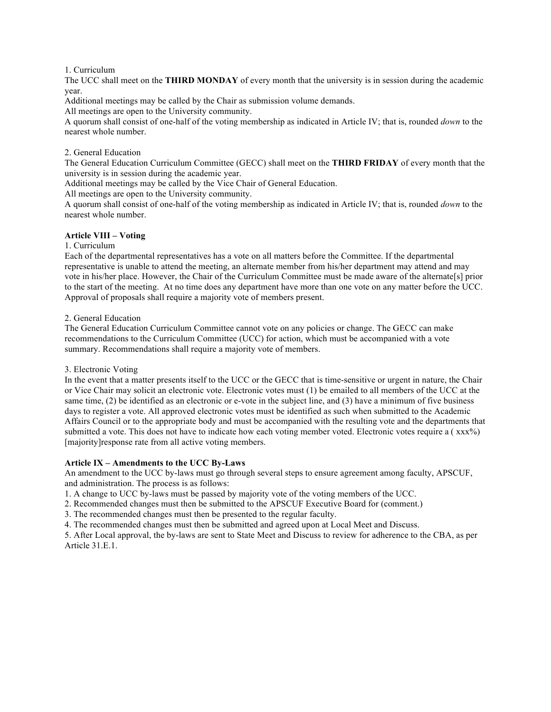#### 1. Curriculum

The UCC shall meet on the **THIRD MONDAY** of every month that the university is in session during the academic year.

Additional meetings may be called by the Chair as submission volume demands.

All meetings are open to the University community.

A quorum shall consist of one-half of the voting membership as indicated in Article IV; that is, rounded *down* to the nearest whole number.

### 2. General Education

The General Education Curriculum Committee (GECC) shall meet on the **THIRD FRIDAY** of every month that the university is in session during the academic year.

Additional meetings may be called by the Vice Chair of General Education.

All meetings are open to the University community.

A quorum shall consist of one-half of the voting membership as indicated in Article IV; that is, rounded *down* to the nearest whole number.

# **Article VIII – Voting**

#### 1. Curriculum

Each of the departmental representatives has a vote on all matters before the Committee. If the departmental representative is unable to attend the meeting, an alternate member from his/her department may attend and may vote in his/her place. However, the Chair of the Curriculum Committee must be made aware of the alternate[s] prior to the start of the meeting. At no time does any department have more than one vote on any matter before the UCC. Approval of proposals shall require a majority vote of members present.

2. General Education

The General Education Curriculum Committee cannot vote on any policies or change. The GECC can make recommendations to the Curriculum Committee (UCC) for action, which must be accompanied with a vote summary. Recommendations shall require a majority vote of members.

#### 3. Electronic Voting

In the event that a matter presents itself to the UCC or the GECC that is time-sensitive or urgent in nature, the Chair or Vice Chair may solicit an electronic vote. Electronic votes must (1) be emailed to all members of the UCC at the same time, (2) be identified as an electronic or e-vote in the subject line, and (3) have a minimum of five business days to register a vote. All approved electronic votes must be identified as such when submitted to the Academic Affairs Council or to the appropriate body and must be accompanied with the resulting vote and the departments that submitted a vote. This does not have to indicate how each voting member voted. Electronic votes require a ( $xxx\%$ ) [majority]response rate from all active voting members.

#### **Article IX – Amendments to the UCC By-Laws**

An amendment to the UCC by-laws must go through several steps to ensure agreement among faculty, APSCUF, and administration. The process is as follows:

- 1. A change to UCC by-laws must be passed by majority vote of the voting members of the UCC.
- 2. Recommended changes must then be submitted to the APSCUF Executive Board for (comment.)
- 3. The recommended changes must then be presented to the regular faculty.
- 4. The recommended changes must then be submitted and agreed upon at Local Meet and Discuss.

5. After Local approval, the by-laws are sent to State Meet and Discuss to review for adherence to the CBA, as per Article 31.E.1.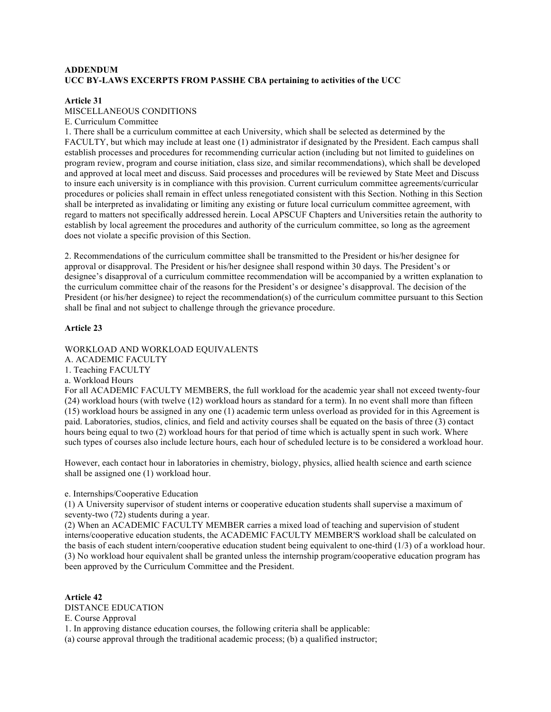# **ADDENDUM UCC BY-LAWS EXCERPTS FROM PASSHE CBA pertaining to activities of the UCC**

### **Article 31**

#### MISCELLANEOUS CONDITIONS

#### E. Curriculum Committee

1. There shall be a curriculum committee at each University, which shall be selected as determined by the FACULTY, but which may include at least one (1) administrator if designated by the President. Each campus shall establish processes and procedures for recommending curricular action (including but not limited to guidelines on program review, program and course initiation, class size, and similar recommendations), which shall be developed and approved at local meet and discuss. Said processes and procedures will be reviewed by State Meet and Discuss to insure each university is in compliance with this provision. Current curriculum committee agreements/curricular procedures or policies shall remain in effect unless renegotiated consistent with this Section. Nothing in this Section shall be interpreted as invalidating or limiting any existing or future local curriculum committee agreement, with regard to matters not specifically addressed herein. Local APSCUF Chapters and Universities retain the authority to establish by local agreement the procedures and authority of the curriculum committee, so long as the agreement does not violate a specific provision of this Section.

2. Recommendations of the curriculum committee shall be transmitted to the President or his/her designee for approval or disapproval. The President or his/her designee shall respond within 30 days. The President's or designee's disapproval of a curriculum committee recommendation will be accompanied by a written explanation to the curriculum committee chair of the reasons for the President's or designee's disapproval. The decision of the President (or his/her designee) to reject the recommendation(s) of the curriculum committee pursuant to this Section shall be final and not subject to challenge through the grievance procedure.

### **Article 23**

WORKLOAD AND WORKLOAD EQUIVALENTS

A. ACADEMIC FACULTY

1. Teaching FACULTY

a. Workload Hours

For all ACADEMIC FACULTY MEMBERS, the full workload for the academic year shall not exceed twenty-four (24) workload hours (with twelve (12) workload hours as standard for a term). In no event shall more than fifteen (15) workload hours be assigned in any one (1) academic term unless overload as provided for in this Agreement is paid. Laboratories, studios, clinics, and field and activity courses shall be equated on the basis of three (3) contact hours being equal to two (2) workload hours for that period of time which is actually spent in such work. Where such types of courses also include lecture hours, each hour of scheduled lecture is to be considered a workload hour.

However, each contact hour in laboratories in chemistry, biology, physics, allied health science and earth science shall be assigned one (1) workload hour.

e. Internships/Cooperative Education

(1) A University supervisor of student interns or cooperative education students shall supervise a maximum of seventy-two (72) students during a year.

(2) When an ACADEMIC FACULTY MEMBER carries a mixed load of teaching and supervision of student interns/cooperative education students, the ACADEMIC FACULTY MEMBER'S workload shall be calculated on the basis of each student intern/cooperative education student being equivalent to one-third (1/3) of a workload hour. (3) No workload hour equivalent shall be granted unless the internship program/cooperative education program has been approved by the Curriculum Committee and the President.

**Article 42** DISTANCE EDUCATION E. Course Approval 1. In approving distance education courses, the following criteria shall be applicable: (a) course approval through the traditional academic process; (b) a qualified instructor;